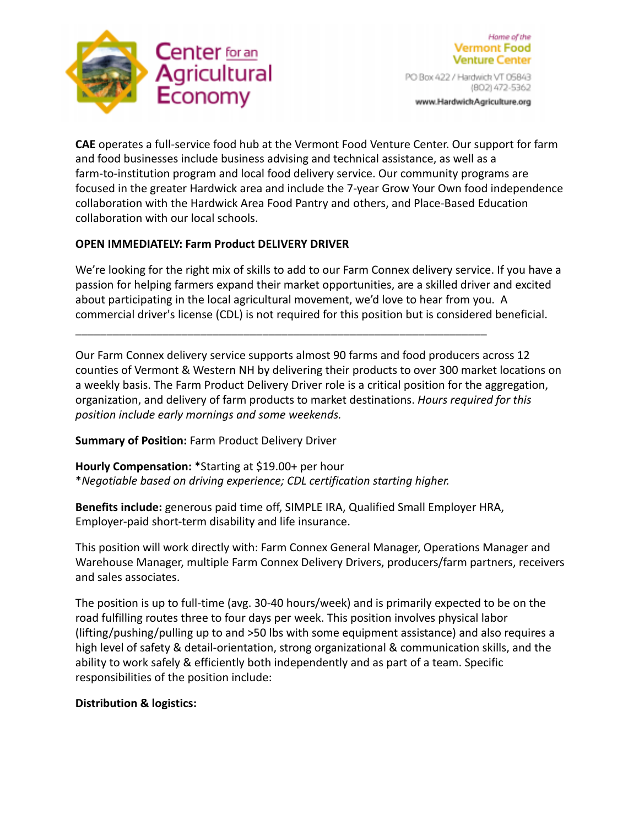



PO Box 422 / Hardwick VT 05843 (802) 472-5362

www.HardwickAgriculture.org

**CAE** operates a full-service food hub at the Vermont Food Venture Center. Our support for farm and food businesses include business advising and technical assistance, as well as a farm-to-institution program and local food delivery service. Our community programs are focused in the greater Hardwick area and include the 7-year Grow Your Own food independence collaboration with the Hardwick Area Food Pantry and others, and Place-Based Education collaboration with our local schools.

## **OPEN IMMEDIATELY: Farm Product DELIVERY DRIVER**

We're looking for the right mix of skills to add to our Farm Connex delivery service. If you have a passion for helping farmers expand their market opportunities, are a skilled driver and excited about participating in the local agricultural movement, we'd love to hear from you. A commercial driver's license (CDL) is not required for this position but is considered beneficial.

Our Farm Connex delivery service supports almost 90 farms and food producers across 12 counties of Vermont & Western NH by delivering their products to over 300 market locations on a weekly basis. The Farm Product Delivery Driver role is a critical position for the aggregation, organization, and delivery of farm products to market destinations. *Hours required for this position include early mornings and some weekends.*

**Summary of Position:** Farm Product Delivery Driver

**Hourly Compensation:** \*Starting at \$19.00+ per hour \**Negotiable based on driving experience; CDL certification starting higher.*

**Benefits include:** generous paid time off, SIMPLE IRA, Qualified Small Employer HRA, Employer-paid short-term disability and life insurance.

\_\_\_\_\_\_\_\_\_\_\_\_\_\_\_\_\_\_\_\_\_\_\_\_\_\_\_\_\_\_\_\_\_\_\_\_\_\_\_\_\_\_\_\_\_\_\_\_\_\_\_\_\_\_\_\_\_\_\_\_\_\_\_\_\_\_

This position will work directly with: Farm Connex General Manager, Operations Manager and Warehouse Manager, multiple Farm Connex Delivery Drivers, producers/farm partners, receivers and sales associates.

The position is up to full-time (avg. 30-40 hours/week) and is primarily expected to be on the road fulfilling routes three to four days per week. This position involves physical labor (lifting/pushing/pulling up to and >50 lbs with some equipment assistance) and also requires a high level of safety & detail-orientation, strong organizational & communication skills, and the ability to work safely & efficiently both independently and as part of a team. Specific responsibilities of the position include:

# **Distribution & logistics:**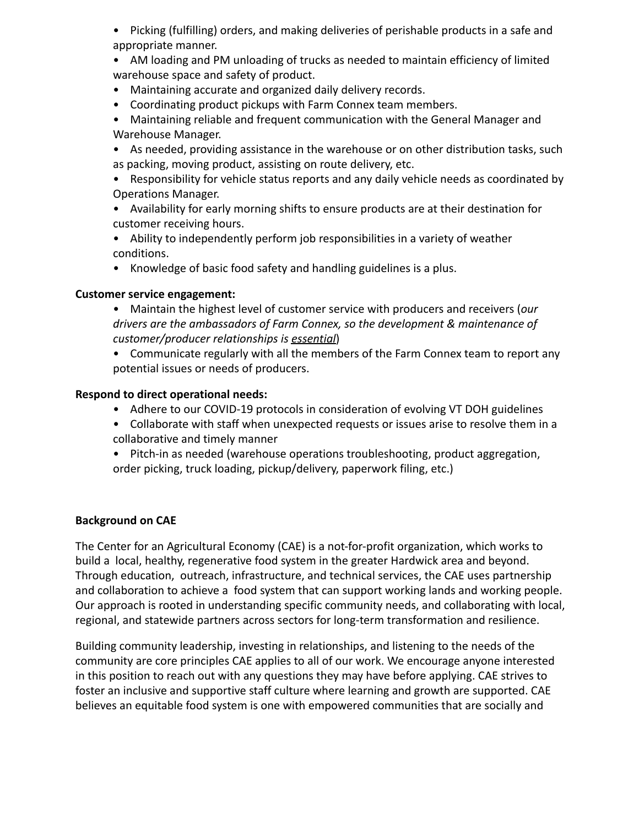- Picking (fulfilling) orders, and making deliveries of perishable products in a safe and appropriate manner.
- AM loading and PM unloading of trucks as needed to maintain efficiency of limited warehouse space and safety of product.
- Maintaining accurate and organized daily delivery records.
- Coordinating product pickups with Farm Connex team members.
- Maintaining reliable and frequent communication with the General Manager and Warehouse Manager.
- As needed, providing assistance in the warehouse or on other distribution tasks, such as packing, moving product, assisting on route delivery, etc.
- Responsibility for vehicle status reports and any daily vehicle needs as coordinated by Operations Manager.
- Availability for early morning shifts to ensure products are at their destination for customer receiving hours.
- Ability to independently perform job responsibilities in a variety of weather conditions.
- Knowledge of basic food safety and handling guidelines is a plus.

## **Customer service engagement:**

- Maintain the highest level of customer service with producers and receivers (*our drivers are the ambassadors of Farm Connex, so the development & maintenance of customer/producer relationships is essential*)
- Communicate regularly with all the members of the Farm Connex team to report any potential issues or needs of producers.

## **Respond to direct operational needs:**

- Adhere to our COVID-19 protocols in consideration of evolving VT DOH guidelines
- Collaborate with staff when unexpected requests or issues arise to resolve them in a collaborative and timely manner
- Pitch-in as needed (warehouse operations troubleshooting, product aggregation, order picking, truck loading, pickup/delivery, paperwork filing, etc.)

# **Background on CAE**

The Center for an Agricultural Economy (CAE) is a not-for-profit organization, which works to build a local, healthy, regenerative food system in the greater Hardwick area and beyond. Through education, outreach, infrastructure, and technical services, the CAE uses partnership and collaboration to achieve a food system that can support working lands and working people. Our approach is rooted in understanding specific community needs, and collaborating with local, regional, and statewide partners across sectors for long-term transformation and resilience.

Building community leadership, investing in relationships, and listening to the needs of the community are core principles CAE applies to all of our work. We encourage anyone interested in this position to reach out with any questions they may have before applying. CAE strives to foster an inclusive and supportive staff culture where learning and growth are supported. CAE believes an equitable food system is one with empowered communities that are socially and